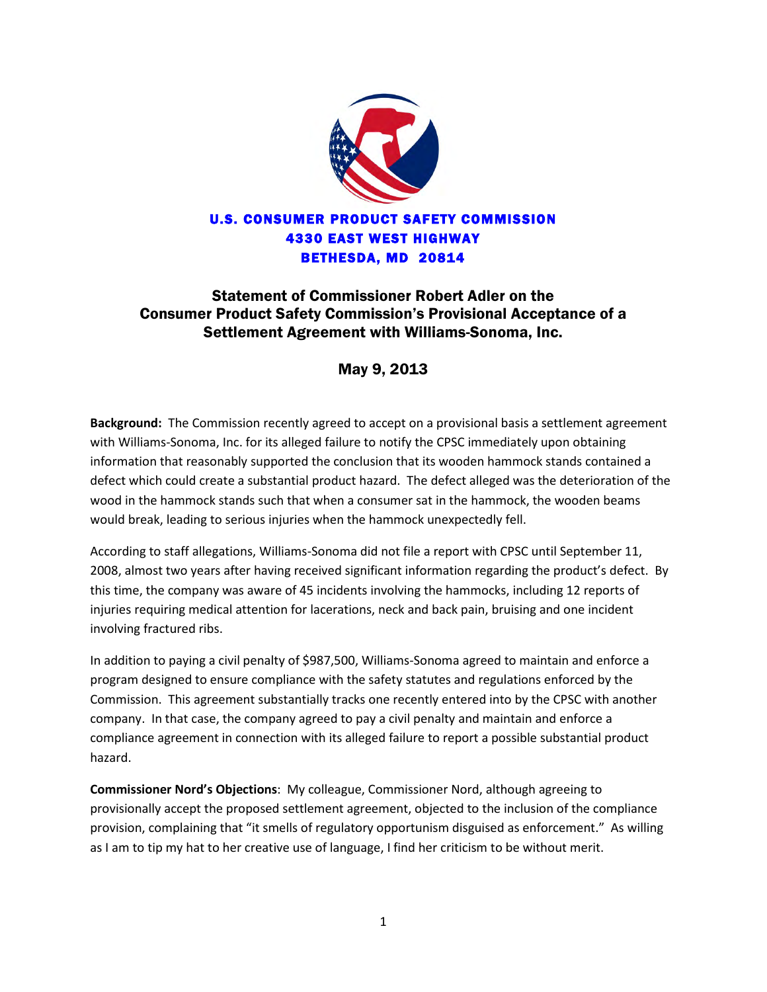

## Statement of Commissioner Robert Adler on the Consumer Product Safety Commission's Provisional Acceptance of a Settlement Agreement with Williams-Sonoma, Inc.

May 9, 2013

**Background:** The Commission recently agreed to accept on a provisional basis a settlement agreement with Williams-Sonoma, Inc. for its alleged failure to notify the CPSC immediately upon obtaining information that reasonably supported the conclusion that its wooden hammock stands contained a defect which could create a substantial product hazard. The defect alleged was the deterioration of the wood in the hammock stands such that when a consumer sat in the hammock, the wooden beams would break, leading to serious injuries when the hammock unexpectedly fell.

According to staff allegations, Williams-Sonoma did not file a report with CPSC until September 11, 2008, almost two years after having received significant information regarding the product's defect. By this time, the company was aware of 45 incidents involving the hammocks, including 12 reports of injuries requiring medical attention for lacerations, neck and back pain, bruising and one incident involving fractured ribs.

In addition to paying a civil penalty of \$987,500, Williams-Sonoma agreed to maintain and enforce a program designed to ensure compliance with the safety statutes and regulations enforced by the Commission. This agreement substantially tracks one recently entered into by the CPSC with another company. In that case, the company agreed to pay a civil penalty and maintain and enforce a compliance agreement in connection with its alleged failure to report a possible substantial product hazard.

**Commissioner Nord's Objections**: My colleague, Commissioner Nord, although agreeing to provisionally accept the proposed settlement agreement, objected to the inclusion of the compliance provision, complaining that "it smells of regulatory opportunism disguised as enforcement." As willing as I am to tip my hat to her creative use of language, I find her criticism to be without merit.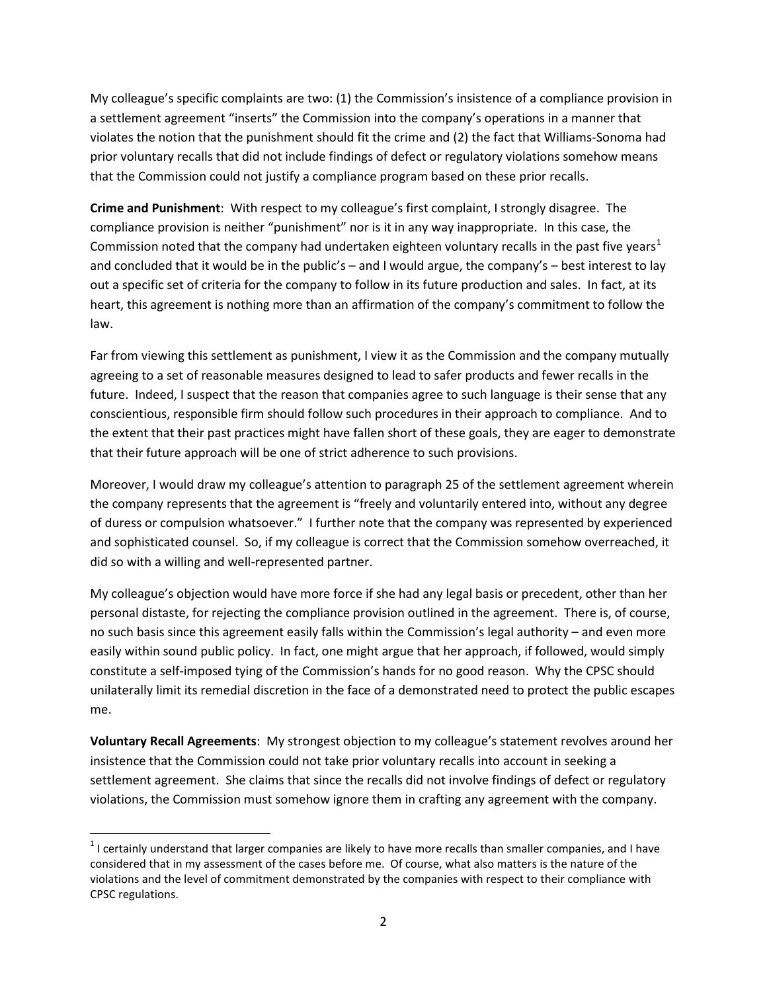My colleague's specific complaints are two: (1) the Commission's insistence of a compliance provision in a settlement agreement "inserts" the Commission into the company's operations in a manner that violates the notion that the punishment should fit the crime and (2) the fact that Williams-Sonoma had prior voluntary recalls that did not include findings of defect or regulatory violations somehow means that the Commission could not justify a compliance program based on these prior recalls.

**Crime and Punishment**: With respect to my colleague's first complaint, I strongly disagree. The compliance provision is neither "punishment" nor is it in any way inappropriate. In this case, the Commission noted that the company had undertaken eighteen voluntary recalls in the past five years<sup>[1](#page-1-0)</sup> and concluded that it would be in the public's – and I would argue, the company's – best interest to lay out a specific set of criteria for the company to follow in its future production and sales. In fact, at its heart, this agreement is nothing more than an affirmation of the company's commitment to follow the law.

Far from viewing this settlement as punishment, I view it as the Commission and the company mutually agreeing to a set of reasonable measures designed to lead to safer products and fewer recalls in the future. Indeed, I suspect that the reason that companies agree to such language is their sense that any conscientious, responsible firm should follow such procedures in their approach to compliance. And to the extent that their past practices might have fallen short of these goals, they are eager to demonstrate that their future approach will be one of strict adherence to such provisions.

Moreover, I would draw my colleague's attention to paragraph 25 of the settlement agreement wherein the company represents that the agreement is "freely and voluntarily entered into, without any degree of duress or compulsion whatsoever." I further note that the company was represented by experienced and sophisticated counsel. So, if my colleague is correct that the Commission somehow overreached, it did so with a willing and well-represented partner.

My colleague's objection would have more force if she had any legal basis or precedent, other than her personal distaste, for rejecting the compliance provision outlined in the agreement. There is, of course, no such basis since this agreement easily falls within the Commission's legal authority – and even more easily within sound public policy. In fact, one might argue that her approach, if followed, would simply constitute a self-imposed tying of the Commission's hands for no good reason. Why the CPSC should unilaterally limit its remedial discretion in the face of a demonstrated need to protect the public escapes me.

**Voluntary Recall Agreements**: My strongest objection to my colleague's statement revolves around her insistence that the Commission could not take prior voluntary recalls into account in seeking a settlement agreement. She claims that since the recalls did not involve findings of defect or regulatory violations, the Commission must somehow ignore them in crafting any agreement with the company.

 $\overline{\phantom{a}}$ 

<span id="page-1-0"></span> $1$  I certainly understand that larger companies are likely to have more recalls than smaller companies, and I have considered that in my assessment of the cases before me. Of course, what also matters is the nature of the violations and the level of commitment demonstrated by the companies with respect to their compliance with CPSC regulations.